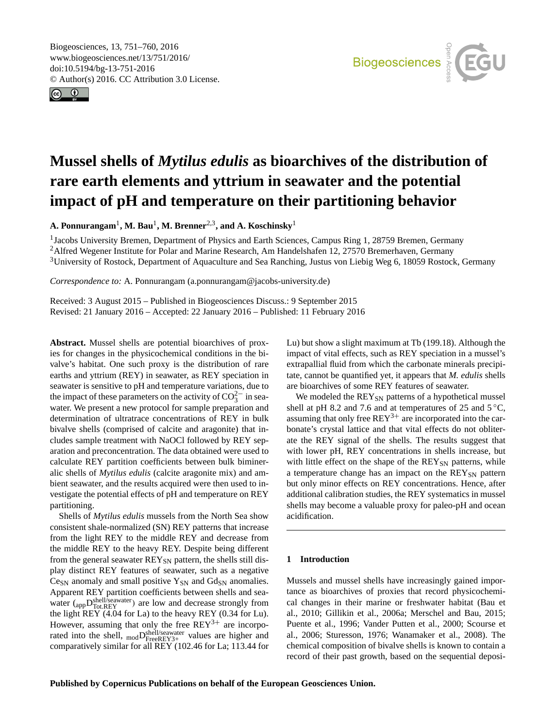<span id="page-0-1"></span>Biogeosciences, 13, 751–760, 2016 www.biogeosciences.net/13/751/2016/ doi:10.5194/bg-13-751-2016 © Author(s) 2016. CC Attribution 3.0 License.





# **Mussel shells of** *Mytilus edulis* **as bioarchives of the distribution of rare earth elements and yttrium in seawater and the potential impact of pH and temperature on their partitioning behavior**

**A. Ponnurangam**[1](#page-0-0) **, M. Bau**[1](#page-0-0) **, M. Brenner**[2,3](#page-0-0) **, and A. Koschinsky**[1](#page-0-0)

<sup>1</sup> Jacobs University Bremen, Department of Physics and Earth Sciences, Campus Ring 1, 28759 Bremen, Germany <sup>2</sup> Alfred Wegener Institute for Polar and Marine Research, Am Handelshafen 12, 27570 Bremerhaven, Germany <sup>3</sup>University of Rostock, Department of Aquaculture and Sea Ranching, Justus von Liebig Weg 6, 18059 Rostock, Germany

*Correspondence to:* A. Ponnurangam (a.ponnurangam@jacobs-university.de)

Received: 3 August 2015 – Published in Biogeosciences Discuss.: 9 September 2015 Revised: 21 January 2016 – Accepted: 22 January 2016 – Published: 11 February 2016

<span id="page-0-0"></span>**Abstract.** Mussel shells are potential bioarchives of proxies for changes in the physicochemical conditions in the bivalve's habitat. One such proxy is the distribution of rare earths and yttrium (REY) in seawater, as REY speciation in seawater is sensitive to pH and temperature variations, due to the impact of these parameters on the activity of  $CO_3^{2-}$  in seawater. We present a new protocol for sample preparation and determination of ultratrace concentrations of REY in bulk bivalve shells (comprised of calcite and aragonite) that includes sample treatment with NaOCl followed by REY separation and preconcentration. The data obtained were used to calculate REY partition coefficients between bulk bimineralic shells of *Mytilus edulis* (calcite aragonite mix) and ambient seawater, and the results acquired were then used to investigate the potential effects of pH and temperature on REY partitioning.

Shells of *Mytilus edulis* mussels from the North Sea show consistent shale-normalized (SN) REY patterns that increase from the light REY to the middle REY and decrease from the middle REY to the heavy REY. Despite being different from the general seawater REY<sub>SN</sub> pattern, the shells still display distinct REY features of seawater, such as a negative  $Ce<sub>SN</sub>$  anomaly and small positive  $Y<sub>SN</sub>$  and  $Gd<sub>SN</sub>$  anomalies. Apparent REY partition coefficients between shells and seawater  $\binom{appShell/seawater}{Tot.REY}$  are low and decrease strongly from the light REY (4.04 for La) to the heavy REY (0.34 for Lu). However, assuming that only the free  $REY^{3+}$  are incorporated into the shell,  $_{\text{mod}}D_{\text{FreeREY3+}}^{\text{shell/seawater}}$  values are higher and comparatively similar for all REY (102.46 for La; 113.44 for Lu) but show a slight maximum at Tb (199.18). Although the impact of vital effects, such as REY speciation in a mussel's extrapallial fluid from which the carbonate minerals precipitate, cannot be quantified yet, it appears that *M. edulis* shells are bioarchives of some REY features of seawater.

We modeled the REY<sub>SN</sub> patterns of a hypothetical mussel shell at pH 8.2 and 7.6 and at temperatures of 25 and 5 °C, assuming that only free  $REY^{3+}$  are incorporated into the carbonate's crystal lattice and that vital effects do not obliterate the REY signal of the shells. The results suggest that with lower pH, REY concentrations in shells increase, but with little effect on the shape of the  $REY_{SN}$  patterns, while a temperature change has an impact on the REY<sub>SN</sub> pattern but only minor effects on REY concentrations. Hence, after additional calibration studies, the REY systematics in mussel shells may become a valuable proxy for paleo-pH and ocean acidification.

# **1 Introduction**

Mussels and mussel shells have increasingly gained importance as bioarchives of proxies that record physicochemical changes in their marine or freshwater habitat (Bau et al., 2010; Gillikin et al., 2006a; Merschel and Bau, 2015; Puente et al., 1996; Vander Putten et al., 2000; Scourse et al., 2006; Sturesson, 1976; Wanamaker et al., 2008). The chemical composition of bivalve shells is known to contain a record of their past growth, based on the sequential deposi-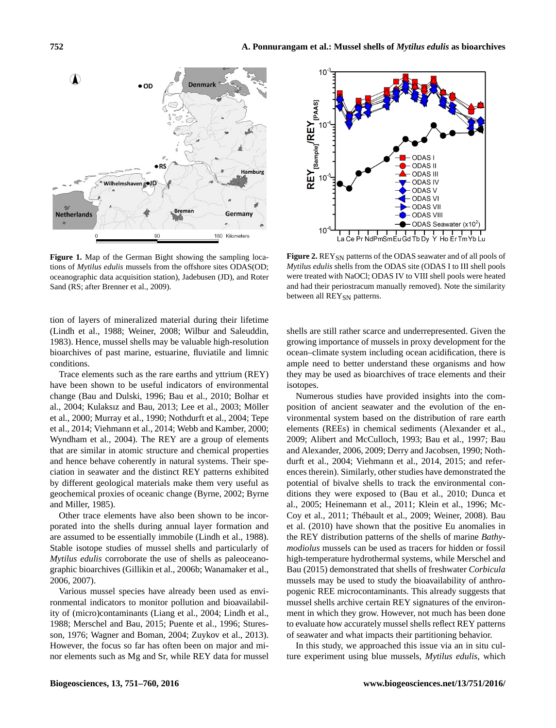

**Figure 1.** Map of the German Bight showing the sampling locations of *Mytilus edulis* mussels from the offshore sites ODAS(OD; oceanographic data acquisition station), Jadebusen (JD), and Roter Sand (RS; after Brenner et al., 2009).

tion of layers of mineralized material during their lifetime (Lindh et al., 1988; Weiner, 2008; Wilbur and Saleuddin, 1983). Hence, mussel shells may be valuable high-resolution bioarchives of past marine, estuarine, fluviatile and limnic conditions.

Trace elements such as the rare earths and yttrium (REY) have been shown to be useful indicators of environmental change (Bau and Dulski, 1996; Bau et al., 2010; Bolhar et al., 2004; Kulaksız and Bau, 2013; Lee et al., 2003; Möller et al., 2000; Murray et al., 1990; Nothdurft et al., 2004; Tepe et al., 2014; Viehmann et al., 2014; Webb and Kamber, 2000; Wyndham et al., 2004). The REY are a group of elements that are similar in atomic structure and chemical properties and hence behave coherently in natural systems. Their speciation in seawater and the distinct REY patterns exhibited by different geological materials make them very useful as geochemical proxies of oceanic change (Byrne, 2002; Byrne and Miller, 1985).

Other trace elements have also been shown to be incorporated into the shells during annual layer formation and are assumed to be essentially immobile (Lindh et al., 1988). Stable isotope studies of mussel shells and particularly of *Mytilus edulis* corroborate the use of shells as paleoceanographic bioarchives (Gillikin et al., 2006b; Wanamaker et al., 2006, 2007).

Various mussel species have already been used as environmental indicators to monitor pollution and bioavailability of (micro)contaminants (Liang et al., 2004; Lindh et al., 1988; Merschel and Bau, 2015; Puente et al., 1996; Sturesson, 1976; Wagner and Boman, 2004; Zuykov et al., 2013). However, the focus so far has often been on major and minor elements such as Mg and Sr, while REY data for mussel



**Figure 2.** REY<sub>SN</sub> patterns of the ODAS seawater and of all pools of *Mytilus edulis* shells from the ODAS site (ODAS I to III shell pools were treated with NaOCl; ODAS IV to VIII shell pools were heated and had their periostracum manually removed). Note the similarity between all REY<sub>SN</sub> patterns.

shells are still rather scarce and underrepresented. Given the growing importance of mussels in proxy development for the ocean–climate system including ocean acidification, there is ample need to better understand these organisms and how they may be used as bioarchives of trace elements and their isotopes.

Numerous studies have provided insights into the composition of ancient seawater and the evolution of the environmental system based on the distribution of rare earth elements (REEs) in chemical sediments (Alexander et al., 2009; Alibert and McCulloch, 1993; Bau et al., 1997; Bau and Alexander, 2006, 2009; Derry and Jacobsen, 1990; Nothdurft et al., 2004; Viehmann et al., 2014, 2015; and references therein). Similarly, other studies have demonstrated the potential of bivalve shells to track the environmental conditions they were exposed to (Bau et al., 2010; Dunca et al., 2005; Heinemann et al., 2011; Klein et al., 1996; Mc-Coy et al., 2011; Thébault et al., 2009; Weiner, 2008). Bau et al. (2010) have shown that the positive Eu anomalies in the REY distribution patterns of the shells of marine *Bathymodiolus* mussels can be used as tracers for hidden or fossil high-temperature hydrothermal systems, while Merschel and Bau (2015) demonstrated that shells of freshwater *Corbicula* mussels may be used to study the bioavailability of anthropogenic REE microcontaminants. This already suggests that mussel shells archive certain REY signatures of the environment in which they grow. However, not much has been done to evaluate how accurately mussel shells reflect REY patterns of seawater and what impacts their partitioning behavior.

In this study, we approached this issue via an in situ culture experiment using blue mussels, *Mytilus edulis*, which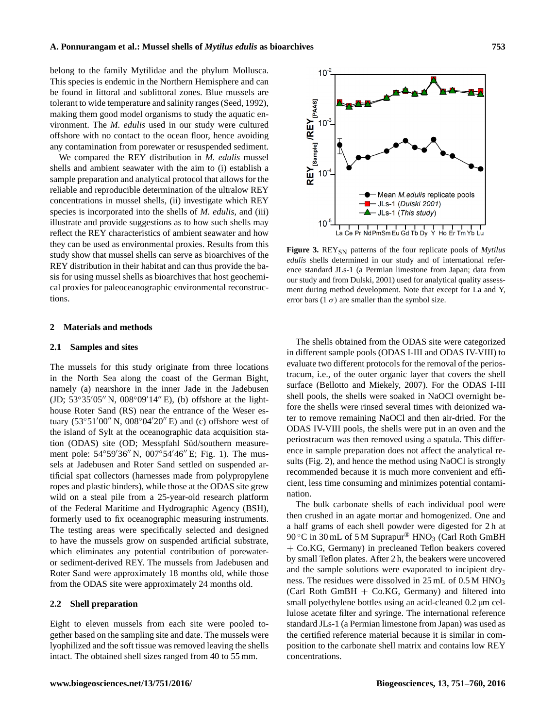belong to the family Mytilidae and the phylum Mollusca. This species is endemic in the Northern Hemisphere and can be found in littoral and sublittoral zones. Blue mussels are tolerant to wide temperature and salinity ranges (Seed, 1992), making them good model organisms to study the aquatic environment. The *M. edulis* used in our study were cultured offshore with no contact to the ocean floor, hence avoiding any contamination from porewater or resuspended sediment.

We compared the REY distribution in *M. edulis* mussel shells and ambient seawater with the aim to (i) establish a sample preparation and analytical protocol that allows for the reliable and reproducible determination of the ultralow REY concentrations in mussel shells, (ii) investigate which REY species is incorporated into the shells of *M. edulis*, and (iii) illustrate and provide suggestions as to how such shells may reflect the REY characteristics of ambient seawater and how they can be used as environmental proxies. Results from this study show that mussel shells can serve as bioarchives of the REY distribution in their habitat and can thus provide the basis for using mussel shells as bioarchives that host geochemical proxies for paleoceanographic environmental reconstructions.

#### **2 Materials and methods**

## **2.1 Samples and sites**

The mussels for this study originate from three locations in the North Sea along the coast of the German Bight, namely (a) nearshore in the inner Jade in the Jadebusen (JD;  $53^{\circ}35'05''$  N,  $008^{\circ}09'14''$  E), (b) offshore at the lighthouse Roter Sand (RS) near the entrance of the Weser estuary  $(53°51'00'' N, 008°04'20'' E)$  and (c) offshore west of the island of Sylt at the oceanographic data acquisition station (ODAS) site (OD; Messpfahl Süd/southern measurement pole: 54°59′36″ N, 007°54′46″ E; Fig. 1). The mussels at Jadebusen and Roter Sand settled on suspended artificial spat collectors (harnesses made from polypropylene ropes and plastic binders), while those at the ODAS site grew wild on a steal pile from a 25-year-old research platform of the Federal Maritime and Hydrographic Agency (BSH), formerly used to fix oceanographic measuring instruments. The testing areas were specifically selected and designed to have the mussels grow on suspended artificial substrate, which eliminates any potential contribution of porewateror sediment-derived REY. The mussels from Jadebusen and Roter Sand were approximately 18 months old, while those from the ODAS site were approximately 24 months old.

# **2.2 Shell preparation**

Eight to eleven mussels from each site were pooled together based on the sampling site and date. The mussels were lyophilized and the soft tissue was removed leaving the shells intact. The obtained shell sizes ranged from 40 to 55 mm.



Figure 3. REY<sub>SN</sub> patterns of the four replicate pools of *Mytilus edulis* shells determined in our study and of international reference standard JLs-1 (a Permian limestone from Japan; data from our study and from Dulski, 2001) used for analytical quality assessment during method development. Note that except for La and Y, error bars (1 $\sigma$ ) are smaller than the symbol size.

The shells obtained from the ODAS site were categorized in different sample pools (ODAS I-III and ODAS IV-VIII) to evaluate two different protocols for the removal of the periostracum, i.e., of the outer organic layer that covers the shell surface (Bellotto and Miekely, 2007). For the ODAS I-III shell pools, the shells were soaked in NaOCl overnight before the shells were rinsed several times with deionized water to remove remaining NaOCl and then air-dried. For the ODAS IV-VIII pools, the shells were put in an oven and the periostracum was then removed using a spatula. This difference in sample preparation does not affect the analytical results (Fig. 2), and hence the method using NaOCl is strongly recommended because it is much more convenient and efficient, less time consuming and minimizes potential contamination.

The bulk carbonate shells of each individual pool were then crushed in an agate mortar and homogenized. One and a half grams of each shell powder were digested for 2 h at  $90^{\circ}$ C in 30 mL of 5 M Suprapur<sup>®</sup> HNO<sub>3</sub> (Carl Roth GmBH) + Co.KG, Germany) in precleaned Teflon beakers covered by small Teflon plates. After 2 h, the beakers were uncovered and the sample solutions were evaporated to incipient dryness. The residues were dissolved in 25 mL of 0.5 M HNO<sub>3</sub> (Carl Roth GmBH  $+$  Co.KG, Germany) and filtered into small polyethylene bottles using an acid-cleaned  $0.2 \mu m$  cellulose acetate filter and syringe. The international reference standard JLs-1 (a Permian limestone from Japan) was used as the certified reference material because it is similar in composition to the carbonate shell matrix and contains low REY concentrations.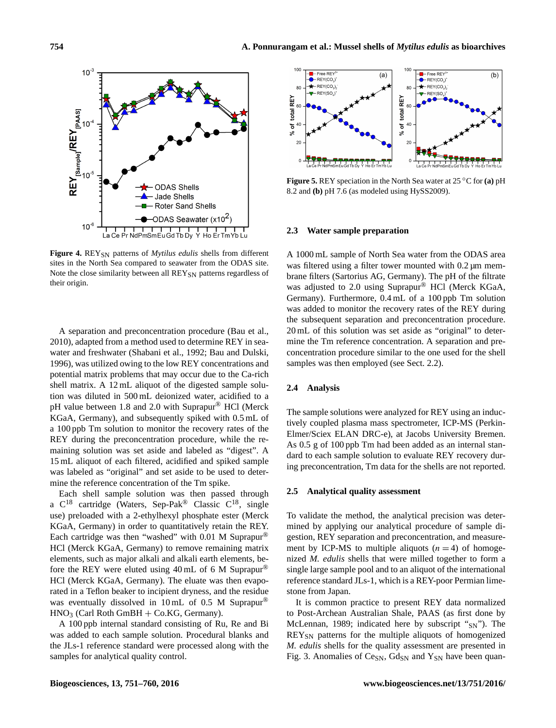

Figure 4. REY<sub>SN</sub> patterns of *Mytilus edulis* shells from different sites in the North Sea compared to seawater from the ODAS site. Note the close similarity between all REY<sub>SN</sub> patterns regardless of their origin.

A separation and preconcentration procedure (Bau et al., 2010), adapted from a method used to determine REY in seawater and freshwater (Shabani et al., 1992; Bau and Dulski, 1996), was utilized owing to the low REY concentrations and potential matrix problems that may occur due to the Ca-rich shell matrix. A 12 mL aliquot of the digested sample solution was diluted in 500 mL deionized water, acidified to a pH value between 1.8 and 2.0 with Suprapur® HCl (Merck KGaA, Germany), and subsequently spiked with 0.5 mL of a 100 ppb Tm solution to monitor the recovery rates of the REY during the preconcentration procedure, while the remaining solution was set aside and labeled as "digest". A 15 mL aliquot of each filtered, acidified and spiked sample was labeled as "original" and set aside to be used to determine the reference concentration of the Tm spike.

Each shell sample solution was then passed through a  $C^{18}$  cartridge (Waters, Sep-Pak<sup>®</sup> Classic  $C^{18}$ , single use) preloaded with a 2-ethylhexyl phosphate ester (Merck KGaA, Germany) in order to quantitatively retain the REY. Each cartridge was then "washed" with 0.01 M Suprapur<sup>®</sup> HCl (Merck KGaA, Germany) to remove remaining matrix elements, such as major alkali and alkali earth elements, before the REY were eluted using  $40 \text{ mL of } 6 \text{ M }$  Suprapur<sup>®</sup> HCl (Merck KGaA, Germany). The eluate was then evaporated in a Teflon beaker to incipient dryness, and the residue was eventually dissolved in 10 mL of 0.5 M Suprapur®  $HNO<sub>3</sub>$  (Carl Roth GmBH + Co.KG, Germany).

A 100 ppb internal standard consisting of Ru, Re and Bi was added to each sample solution. Procedural blanks and the JLs-1 reference standard were processed along with the samples for analytical quality control.



**Figure 5.** REY speciation in the North Sea water at 25 ◦C for **(a)** pH 8.2 and **(b)** pH 7.6 (as modeled using HySS2009).

## **2.3 Water sample preparation**

A 1000 mL sample of North Sea water from the ODAS area was filtered using a filter tower mounted with 0.2  $\mu$ m membrane filters (Sartorius AG, Germany). The pH of the filtrate was adjusted to 2.0 using Suprapur® HCl (Merck KGaA, Germany). Furthermore, 0.4 mL of a 100 ppb Tm solution was added to monitor the recovery rates of the REY during the subsequent separation and preconcentration procedure. 20 mL of this solution was set aside as "original" to determine the Tm reference concentration. A separation and preconcentration procedure similar to the one used for the shell samples was then employed (see Sect. 2.2).

### **2.4 Analysis**

The sample solutions were analyzed for REY using an inductively coupled plasma mass spectrometer, ICP-MS (Perkin-Elmer/Sciex ELAN DRC-e), at Jacobs University Bremen. As 0.5 g of 100 ppb Tm had been added as an internal standard to each sample solution to evaluate REY recovery during preconcentration, Tm data for the shells are not reported.

# **2.5 Analytical quality assessment**

To validate the method, the analytical precision was determined by applying our analytical procedure of sample digestion, REY separation and preconcentration, and measurement by ICP-MS to multiple aliquots  $(n = 4)$  of homogenized *M. edulis* shells that were milled together to form a single large sample pool and to an aliquot of the international reference standard JLs-1, which is a REY-poor Permian limestone from Japan.

It is common practice to present REY data normalized to Post-Archean Australian Shale, PAAS (as first done by McLennan, 1989; indicated here by subscript " $\text{SN}$ "). The REYSN patterns for the multiple aliquots of homogenized *M. edulis* shells for the quality assessment are presented in Fig. 3. Anomalies of  $Ce<sub>SN</sub>$ ,  $Gd<sub>SN</sub>$  and  $Y<sub>SN</sub>$  have been quan-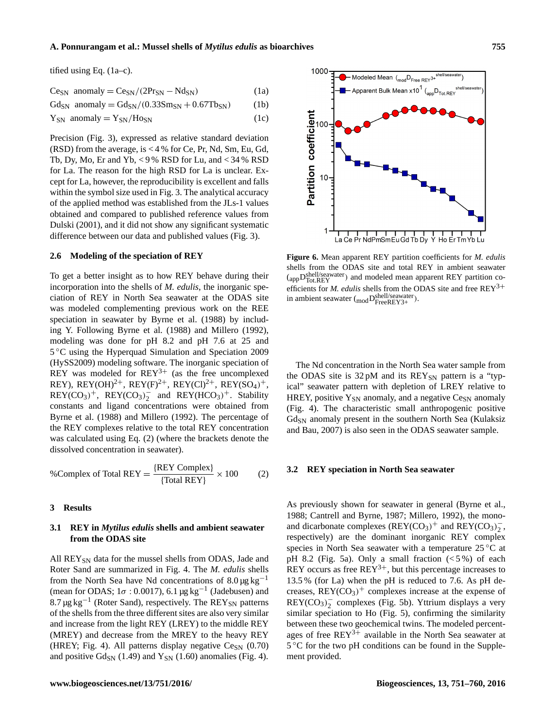## **A. Ponnurangam et al.: Mussel shells of** *Mytilus edulis* **as bioarchives 755**

tified using Eq. (1a–c).

$$
Ce_{SN} \text{ anomaly} = Ce_{SN}/(2Pr_{SN} - Nd_{SN}) \tag{1a}
$$

$$
Gd_{SN} \text{ anomaly} = Gd_{SN}/(0.33 \text{Sm}_{SN} + 0.67 \text{Tb}_{SN}) \tag{1b}
$$

$$
Y_{SN} \text{ anomaly} = Y_{SN} / H_{OSN} \tag{1c}
$$

Precision (Fig. 3), expressed as relative standard deviation (RSD) from the average, is < 4 % for Ce, Pr, Nd, Sm, Eu, Gd, Tb, Dy, Mo, Er and Yb, < 9 % RSD for Lu, and < 34 % RSD for La. The reason for the high RSD for La is unclear. Except for La, however, the reproducibility is excellent and falls within the symbol size used in Fig. 3. The analytical accuracy of the applied method was established from the JLs-1 values obtained and compared to published reference values from Dulski (2001), and it did not show any significant systematic difference between our data and published values (Fig. 3).

#### **2.6 Modeling of the speciation of REY**

To get a better insight as to how REY behave during their incorporation into the shells of *M. edulis*, the inorganic speciation of REY in North Sea seawater at the ODAS site was modeled complementing previous work on the REE speciation in seawater by Byrne et al. (1988) by including Y. Following Byrne et al. (1988) and Millero (1992), modeling was done for pH 8.2 and pH 7.6 at 25 and 5 ◦C using the Hyperquad Simulation and Speciation 2009 (HySS2009) modeling software. The inorganic speciation of REY was modeled for  $REY^{3+}$  (as the free uncomplexed REY), REY(OH)<sup>2+</sup>, REY(F)<sup>2+</sup>, REY(Cl)<sup>2+</sup>, REY(SO<sub>4</sub>)<sup>+</sup>,  $REV(CO_3)^+$ ,  $REV(CO_3)^ \frac{1}{2}$  and REY(HCO<sub>3</sub>)<sup>+</sup>. Stability constants and ligand concentrations were obtained from Byrne et al. (1988) and Millero (1992). The percentage of the REY complexes relative to the total REY concentration was calculated using Eq. (2) (where the brackets denote the dissolved concentration in seawater).

%Complex of Total REV = 
$$
\frac{\text{REY Complex}}{\text{Total REV}} \times 100
$$
 (2)

#### **3 Results**

# **3.1 REY in** *Mytilus edulis* **shells and ambient seawater from the ODAS site**

All  $REY_{SN}$  data for the mussel shells from ODAS, Jade and Roter Sand are summarized in Fig. 4. The *M. edulis* shells from the North Sea have Nd concentrations of  $8.0 \,\text{µg}\,\text{kg}^{-1}$ (mean for ODAS;  $1\sigma$ : 0.0017), 6.1 µg kg<sup>-1</sup> (Jadebusen) and 8.7 µg kg<sup>-1</sup> (Roter Sand), respectively. The REY<sub>SN</sub> patterns of the shells from the three different sites are also very similar and increase from the light REY (LREY) to the middle REY (MREY) and decrease from the MREY to the heavy REY (HREY; Fig. 4). All patterns display negative  $Ce_{SN}$  (0.70) and positive  $Gd_{SN}$  (1.49) and  $Y_{SN}$  (1.60) anomalies (Fig. 4).



**Figure 6.** Mean apparent REY partition coefficients for *M. edulis* shells from the ODAS site and total REY in ambient seawater (appD<sup>shell/seawater</sup>) and modeled mean apparent REY partition coefficients for *M. edulis* shells from the ODAS site and free  $REY^{3+}$ in ambient seawater  $\binom{mod}{\text{SpeedEY3+}}$ .

The Nd concentration in the North Sea water sample from the ODAS site is  $32 \text{ pM}$  and its  $REY_{SN}$  pattern is a "typical" seawater pattern with depletion of LREY relative to HREY, positive  $Y_{SN}$  anomaly, and a negative  $C_{SN}$  anomaly (Fig. 4). The characteristic small anthropogenic positive  $Gd<sub>SN</sub>$  anomaly present in the southern North Sea (Kulaksiz and Bau, 2007) is also seen in the ODAS seawater sample.

#### **3.2 REY speciation in North Sea seawater**

As previously shown for seawater in general (Byrne et al., 1988; Cantrell and Byrne, 1987; Millero, 1992), the monoand dicarbonate complexes  $(REY(CO_3)^+$  and  $REY(CO_3)^ \frac{1}{2}$ , respectively) are the dominant inorganic REY complex species in North Sea seawater with a temperature 25 °C at pH 8.2 (Fig. 5a). Only a small fraction  $(5\%)$  of each REY occurs as free  $REY^{3+}$ , but this percentage increases to 13.5 % (for La) when the pH is reduced to 7.6. As pH decreases,  $REV(CO_3)^+$  complexes increase at the expense of  $REV(CO_3)<sub>2</sub>$  $\frac{1}{2}$  complexes (Fig. 5b). Yttrium displays a very similar speciation to Ho (Fig. 5), confirming the similarity between these two geochemical twins. The modeled percentages of free  $REY^{3+}$  available in the North Sea seawater at 5 °C for the two pH conditions can be found in the Supplement provided.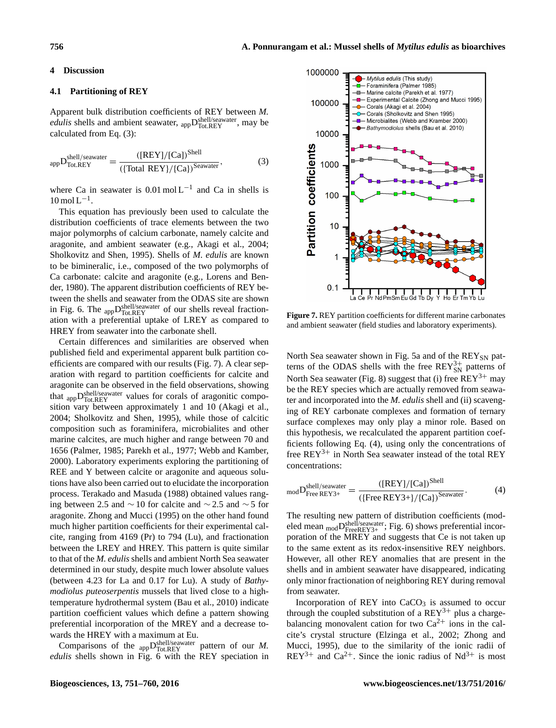#### **4 Discussion**

# **4.1 Partitioning of REY**

Apparent bulk distribution coefficients of REY between *M. edulis* shells and ambient seawater,  $_{app}D_{\text{Tot,REV}}^{\text{shell/seawater}}$ , may be calculated from Eq. (3):

$$
_{app}D_{Tot, REV}^{shell/seawater} = \frac{([REV]/[Ca])^{Shell}}{([Total REV]/[Ca])^{Seawater}},
$$
 (3)

where Ca in seawater is  $0.01 \text{ mol L}^{-1}$  and Ca in shells is  $10 \text{ mol L}^{-1}$ .

This equation has previously been used to calculate the distribution coefficients of trace elements between the two major polymorphs of calcium carbonate, namely calcite and aragonite, and ambient seawater (e.g., Akagi et al., 2004; Sholkovitz and Shen, 1995). Shells of *M. edulis* are known to be bimineralic, i.e., composed of the two polymorphs of Ca carbonate: calcite and aragonite (e.g., Lorens and Bender, 1980). The apparent distribution coefficients of REY between the shells and seawater from the ODAS site are shown in Fig. 6. The  $_{app}D_{Tot,REV}^{shell/seawater}$  of our shells reveal fractionation with a preferential uptake of LREY as compared to HREY from seawater into the carbonate shell.

Certain differences and similarities are observed when published field and experimental apparent bulk partition coefficients are compared with our results (Fig. 7). A clear separation with regard to partition coefficients for calcite and aragonite can be observed in the field observations, showing that appD<sup>shell/seawater</sup> values for corals of aragonitic composition vary between approximately 1 and 10 (Akagi et al., 2004; Sholkovitz and Shen, 1995), while those of calcitic composition such as foraminifera, microbialites and other marine calcites, are much higher and range between 70 and 1656 (Palmer, 1985; Parekh et al., 1977; Webb and Kamber, 2000). Laboratory experiments exploring the partitioning of REE and Y between calcite or aragonite and aqueous solutions have also been carried out to elucidate the incorporation process. Terakado and Masuda (1988) obtained values ranging between 2.5 and  $\sim$  10 for calcite and  $\sim$  2.5 and  $\sim$  5 for aragonite. Zhong and Mucci (1995) on the other hand found much higher partition coefficients for their experimental calcite, ranging from 4169 (Pr) to 794 (Lu), and fractionation between the LREY and HREY. This pattern is quite similar to that of the *M. edulis* shells and ambient North Sea seawater determined in our study, despite much lower absolute values (between 4.23 for La and 0.17 for Lu). A study of *Bathymodiolus puteoserpentis* mussels that lived close to a hightemperature hydrothermal system (Bau et al., 2010) indicate partition coefficient values which define a pattern showing preferential incorporation of the MREY and a decrease towards the HREY with a maximum at Eu.

Comparisons of the  $_{app}D_{\text{Tot,REV}}^{\text{shell/seawater}}$  pattern of our *M*. *edulis* shells shown in Fig. 6 with the REY speciation in



**Figure 7.** REY partition coefficients for different marine carbonates and ambient seawater (field studies and laboratory experiments).

North Sea seawater shown in Fig. 5a and of the REY<sub>SN</sub> patterns of the ODAS shells with the free  $REY_{SN}^{3+}$  patterns of North Sea seawater (Fig. 8) suggest that (i) free  $REY^{3+}$  may be the REY species which are actually removed from seawater and incorporated into the *M. edulis* shell and (ii) scavenging of REY carbonate complexes and formation of ternary surface complexes may only play a minor role. Based on this hypothesis, we recalculated the apparent partition coefficients following Eq. (4), using only the concentrations of free  $REY^{3+}$  in North Sea seawater instead of the total REY concentrations:

$$
mod D_{Free\:REY3+}^{shell/seawater} = \frac{([REY]/[Ca])^{Shell}}{([Free\:REY3+]/[Ca])^{Seawater}}.
$$
 (4)

The resulting new pattern of distribution coefficients (modeled mean  $_{\text{mod}}D_{\text{FreeREY3+}}^{\text{shell/seawater}}$ ; Fig. 6) shows preferential incorporation of the MREY and suggests that Ce is not taken up to the same extent as its redox-insensitive REY neighbors. However, all other REY anomalies that are present in the shells and in ambient seawater have disappeared, indicating only minor fractionation of neighboring REY during removal from seawater.

Incorporation of REY into  $CaCO<sub>3</sub>$  is assumed to occur through the coupled substitution of a  $REY^{3+}$  plus a chargebalancing monovalent cation for two  $Ca^{2+}$  ions in the calcite's crystal structure (Elzinga et al., 2002; Zhong and Mucci, 1995), due to the similarity of the ionic radii of  $REY^{3+}$  and  $Ca^{2+}$ . Since the ionic radius of  $Nd^{3+}$  is most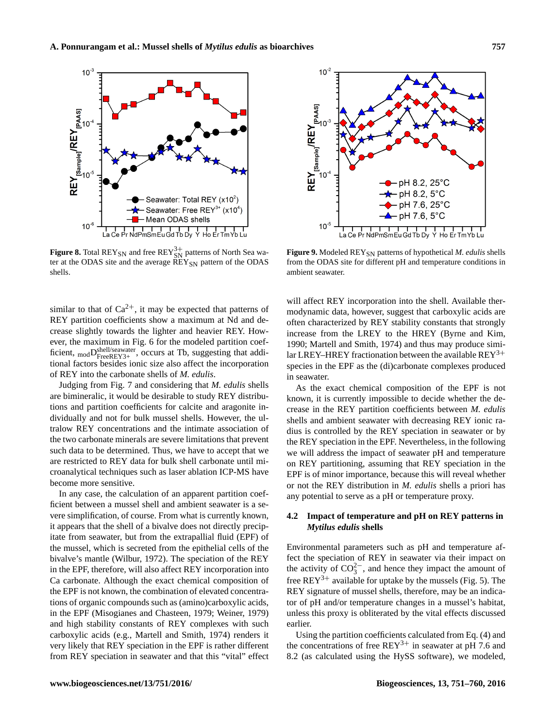

**Figure 8.** Total  $REY_{SN}$  and free  $REY_{SN}^{3+}$  patterns of North Sea water at the ODAS site and the average  $\overline{KEY}_{SN}$  pattern of the ODAS shells.

similar to that of  $Ca^{2+}$ , it may be expected that patterns of REY partition coefficients show a maximum at Nd and decrease slightly towards the lighter and heavier REY. However, the maximum in Fig. 6 for the modeled partition coefficient, <sub>mod</sub>D<sub>FreeREY3+</sub>, occurs at Tb, suggesting that additional factors besides ionic size also affect the incorporation of REY into the carbonate shells of *M. edulis*.

Judging from Fig. 7 and considering that *M. edulis* shells are bimineralic, it would be desirable to study REY distributions and partition coefficients for calcite and aragonite individually and not for bulk mussel shells. However, the ultralow REY concentrations and the intimate association of the two carbonate minerals are severe limitations that prevent such data to be determined. Thus, we have to accept that we are restricted to REY data for bulk shell carbonate until microanalytical techniques such as laser ablation ICP-MS have become more sensitive.

In any case, the calculation of an apparent partition coefficient between a mussel shell and ambient seawater is a severe simplification, of course. From what is currently known, it appears that the shell of a bivalve does not directly precipitate from seawater, but from the extrapallial fluid (EPF) of the mussel, which is secreted from the epithelial cells of the bivalve's mantle (Wilbur, 1972). The speciation of the REY in the EPF, therefore, will also affect REY incorporation into Ca carbonate. Although the exact chemical composition of the EPF is not known, the combination of elevated concentrations of organic compounds such as (amino)carboxylic acids, in the EPF (Misogianes and Chasteen, 1979; Weiner, 1979) and high stability constants of REY complexes with such carboxylic acids (e.g., Martell and Smith, 1974) renders it very likely that REY speciation in the EPF is rather different from REY speciation in seawater and that this "vital" effect



Figure 9. Modeled REY<sub>SN</sub> patterns of hypothetical *M. edulis* shells from the ODAS site for different pH and temperature conditions in ambient seawater.

will affect REY incorporation into the shell. Available thermodynamic data, however, suggest that carboxylic acids are often characterized by REY stability constants that strongly increase from the LREY to the HREY (Byrne and Kim, 1990; Martell and Smith, 1974) and thus may produce similar LREY–HREY fractionation between the available  $REY^{3+}$ species in the EPF as the (di)carbonate complexes produced in seawater.

As the exact chemical composition of the EPF is not known, it is currently impossible to decide whether the decrease in the REY partition coefficients between *M. edulis* shells and ambient seawater with decreasing REY ionic radius is controlled by the REY speciation in seawater or by the REY speciation in the EPF. Nevertheless, in the following we will address the impact of seawater pH and temperature on REY partitioning, assuming that REY speciation in the EPF is of minor importance, because this will reveal whether or not the REY distribution in *M. edulis* shells a priori has any potential to serve as a pH or temperature proxy.

# **4.2 Impact of temperature and pH on REY patterns in** *Mytilus edulis* **shells**

Environmental parameters such as pH and temperature affect the speciation of REY in seawater via their impact on the activity of  $CO_3^{2-}$ , and hence they impact the amount of free  $REY^{3+}$  available for uptake by the mussels (Fig. 5). The REY signature of mussel shells, therefore, may be an indicator of pH and/or temperature changes in a mussel's habitat, unless this proxy is obliterated by the vital effects discussed earlier.

Using the partition coefficients calculated from Eq. (4) and the concentrations of free  $REY^{3+}$  in seawater at pH 7.6 and 8.2 (as calculated using the HySS software), we modeled,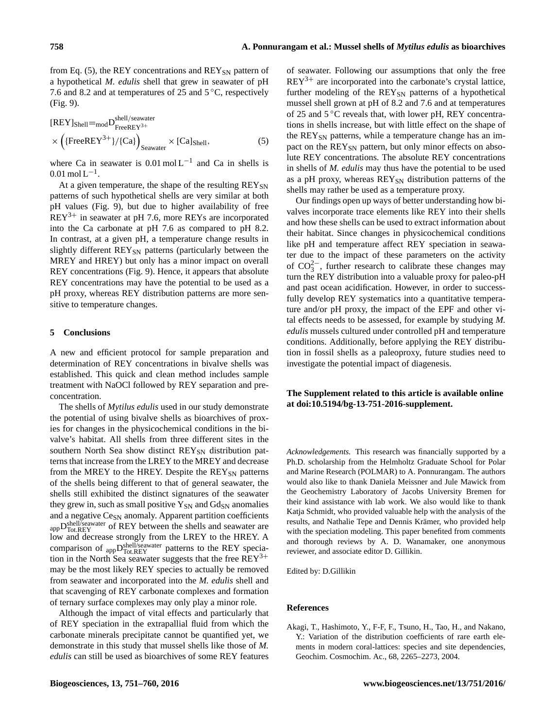$$
[REY]_{Shell} = \text{mod} D_{\text{FreeREY}^{3+}}^{\text{shell/seawater}}
$$
  
× 
$$
({\text{FreeREY}^{3+}})/{\text{Ca}})_{\text{Seawater}} \times {\text{Ca}}_{\text{Shell}} ,
$$
 (5)

where Ca in seawater is  $0.01 \text{ mol} L^{-1}$  and Ca in shells is  $0.01 \,\mathrm{mol} \,\mathrm{L}^{-1}$ .

At a given temperature, the shape of the resulting  $REY_{SN}$ patterns of such hypothetical shells are very similar at both pH values (Fig. 9), but due to higher availability of free  $REY^{3+}$  in seawater at pH 7.6, more REYs are incorporated into the Ca carbonate at pH 7.6 as compared to pH 8.2. In contrast, at a given pH, a temperature change results in slightly different  $REY_{SN}$  patterns (particularly between the MREY and HREY) but only has a minor impact on overall REY concentrations (Fig. 9). Hence, it appears that absolute REY concentrations may have the potential to be used as a pH proxy, whereas REY distribution patterns are more sensitive to temperature changes.

# **5 Conclusions**

A new and efficient protocol for sample preparation and determination of REY concentrations in bivalve shells was established. This quick and clean method includes sample treatment with NaOCl followed by REY separation and preconcentration.

The shells of *Mytilus edulis* used in our study demonstrate the potential of using bivalve shells as bioarchives of proxies for changes in the physicochemical conditions in the bivalve's habitat. All shells from three different sites in the southern North Sea show distinct REY<sub>SN</sub> distribution patterns that increase from the LREY to the MREY and decrease from the MREY to the HREY. Despite the  $REY_{SN}$  patterns of the shells being different to that of general seawater, the shells still exhibited the distinct signatures of the seawater they grew in, such as small positive  $Y_{SN}$  and  $Gd_{SN}$  anomalies and a negative  $C_{\text{SN}}$  anomaly. Apparent partition coefficients  $_{app}D_{\text{Tot,REV}}^{\text{shell/seawater}}$  of REY between the shells and seawater are low and decrease strongly from the LREY to the HREY. A comparison of  $_{app}D_{\text{Tot,REV}}^{\text{shell/seawater}}$  patterns to the REY speciation in the North Sea seawater suggests that the free  $REY^{3+}$ may be the most likely REY species to actually be removed from seawater and incorporated into the *M. edulis* shell and that scavenging of REY carbonate complexes and formation of ternary surface complexes may only play a minor role.

Although the impact of vital effects and particularly that of REY speciation in the extrapallial fluid from which the carbonate minerals precipitate cannot be quantified yet, we demonstrate in this study that mussel shells like those of *M. edulis* can still be used as bioarchives of some REY features of seawater. Following our assumptions that only the free  $REY^{3+}$  are incorporated into the carbonate's crystal lattice, further modeling of the  $REY_{SN}$  patterns of a hypothetical mussel shell grown at pH of 8.2 and 7.6 and at temperatures of 25 and 5 ◦C reveals that, with lower pH, REY concentrations in shells increase, but with little effect on the shape of the  $REY_{SN}$  patterns, while a temperature change has an impact on the REY<sub>SN</sub> pattern, but only minor effects on absolute REY concentrations. The absolute REY concentrations in shells of *M. edulis* may thus have the potential to be used as a pH proxy, whereas REY<sub>SN</sub> distribution patterns of the shells may rather be used as a temperature proxy.

Our findings open up ways of better understanding how bivalves incorporate trace elements like REY into their shells and how these shells can be used to extract information about their habitat. Since changes in physicochemical conditions like pH and temperature affect REY speciation in seawater due to the impact of these parameters on the activity of  $CO_3^{2-}$ , further research to calibrate these changes may turn the REY distribution into a valuable proxy for paleo-pH and past ocean acidification. However, in order to successfully develop REY systematics into a quantitative temperature and/or pH proxy, the impact of the EPF and other vital effects needs to be assessed, for example by studying *M. edulis* mussels cultured under controlled pH and temperature conditions. Additionally, before applying the REY distribution in fossil shells as a paleoproxy, future studies need to investigate the potential impact of diagenesis.

# **The Supplement related to this article is available online at [doi:10.5194/bg-13-751-2016-supplement.](http://dx.doi.org/10.5194/bg-13-751-2016-supplement)**

*Acknowledgements.* This research was financially supported by a Ph.D. scholarship from the Helmholtz Graduate School for Polar and Marine Research (POLMAR) to A. Ponnurangam. The authors would also like to thank Daniela Meissner and Jule Mawick from the Geochemistry Laboratory of Jacobs University Bremen for their kind assistance with lab work. We also would like to thank Katja Schmidt, who provided valuable help with the analysis of the results, and Nathalie Tepe and Dennis Krämer, who provided help with the speciation modeling. This paper benefited from comments and thorough reviews by A. D. Wanamaker, one anonymous reviewer, and associate editor D. Gillikin.

Edited by: D.Gillikin

## **References**

Akagi, T., Hashimoto, Y., F-F, F., Tsuno, H., Tao, H., and Nakano, Y.: Variation of the distribution coefficients of rare earth elements in modern coral-lattices: species and site dependencies, Geochim. Cosmochim. Ac., 68, 2265–2273, 2004.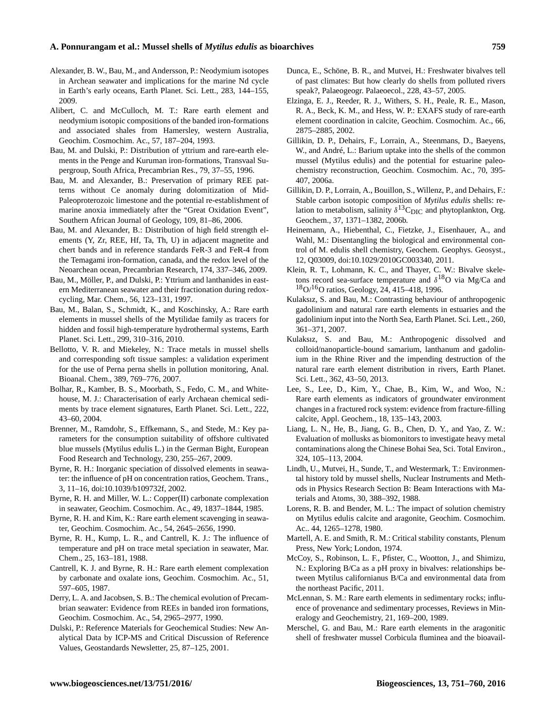## **A. Ponnurangam et al.: Mussel shells of** *Mytilus edulis* **as bioarchives 759**

- Alexander, B. W., Bau, M., and Andersson, P.: Neodymium isotopes in Archean seawater and implications for the marine Nd cycle in Earth's early oceans, Earth Planet. Sci. Lett., 283, 144–155, 2009.
- Alibert, C. and McCulloch, M. T.: Rare earth element and neodymium isotopic compositions of the banded iron-formations and associated shales from Hamersley, western Australia, Geochim. Cosmochim. Ac., 57, 187–204, 1993.
- Bau, M. and Dulski, P.: Distribution of yttrium and rare-earth elements in the Penge and Kuruman iron-formations, Transvaal Supergroup, South Africa, Precambrian Res., 79, 37–55, 1996.
- Bau, M. and Alexander, B.: Preservation of primary REE patterns without Ce anomaly during dolomitization of Mid-Paleoproterozoic limestone and the potential re-establishment of marine anoxia immediately after the "Great Oxidation Event", Southern African Journal of Geology, 109, 81–86, 2006.
- Bau, M. and Alexander, B.: Distribution of high field strength elements (Y, Zr, REE, Hf, Ta, Th, U) in adjacent magnetite and chert bands and in reference standards FeR-3 and FeR-4 from the Temagami iron-formation, canada, and the redox level of the Neoarchean ocean, Precambrian Research, 174, 337–346, 2009.
- Bau, M., Möller, P., and Dulski, P.: Yttrium and lanthanides in eastern Mediterranean seawater and their fractionation during redoxcycling, Mar. Chem., 56, 123–131, 1997.
- Bau, M., Balan, S., Schmidt, K., and Koschinsky, A.: Rare earth elements in mussel shells of the Mytilidae family as tracers for hidden and fossil high-temperature hydrothermal systems, Earth Planet. Sci. Lett., 299, 310–316, 2010.
- Bellotto, V. R. and Miekeley, N.: Trace metals in mussel shells and corresponding soft tissue samples: a validation experiment for the use of Perna perna shells in pollution monitoring, Anal. Bioanal. Chem., 389, 769–776, 2007.
- Bolhar, R., Kamber, B. S., Moorbath, S., Fedo, C. M., and Whitehouse, M. J.: Characterisation of early Archaean chemical sediments by trace element signatures, Earth Planet. Sci. Lett., 222, 43–60, 2004.
- Brenner, M., Ramdohr, S., Effkemann, S., and Stede, M.: Key parameters for the consumption suitability of offshore cultivated blue mussels (Mytilus edulis L.) in the German Bight, European Food Research and Technology, 230, 255–267, 2009.
- Byrne, R. H.: Inorganic speciation of dissolved elements in seawater: the influence of pH on concentration ratios, Geochem. Trans., 3, 11–16, doi[:10.1039/b109732f,](http://dx.doi.org/10.1039/b109732f) 2002.
- Byrne, R. H. and Miller, W. L.: Copper(II) carbonate complexation in seawater, Geochim. Cosmochim. Ac., 49, 1837–1844, 1985.
- Byrne, R. H. and Kim, K.: Rare earth element scavenging in seawater, Geochim. Cosmochim. Ac., 54, 2645–2656, 1990.
- Byrne, R. H., Kump, L. R., and Cantrell, K. J.: The influence of temperature and pH on trace metal speciation in seawater, Mar. Chem., 25, 163–181, 1988.
- Cantrell, K. J. and Byrne, R. H.: Rare earth element complexation by carbonate and oxalate ions, Geochim. Cosmochim. Ac., 51, 597–605, 1987.
- Derry, L. A. and Jacobsen, S. B.: The chemical evolution of Precambrian seawater: Evidence from REEs in banded iron formations, Geochim. Cosmochim. Ac., 54, 2965–2977, 1990.
- Dulski, P.: Reference Materials for Geochemical Studies: New Analytical Data by ICP-MS and Critical Discussion of Reference Values, Geostandards Newsletter, 25, 87–125, 2001.
- Dunca, E., Schöne, B. R., and Mutvei, H.: Freshwater bivalves tell of past climates: But how clearly do shells from polluted rivers speak?, Palaeogeogr. Palaeoecol., 228, 43–57, 2005.
- Elzinga, E. J., Reeder, R. J., Withers, S. H., Peale, R. E., Mason, R. A., Beck, K. M., and Hess, W. P.: EXAFS study of rare-earth element coordination in calcite, Geochim. Cosmochim. Ac., 66, 2875–2885, 2002.
- Gillikin, D. P., Dehairs, F., Lorrain, A., Steenmans, D., Baeyens, W., and André, L.: Barium uptake into the shells of the common mussel (Mytilus edulis) and the potential for estuarine paleochemistry reconstruction, Geochim. Cosmochim. Ac., 70, 395- 407, 2006a.
- Gillikin, D. P., Lorrain, A., Bouillon, S., Willenz, P., and Dehairs, F.: Stable carbon isotopic composition of *Mytilus edulis* shells: relation to metabolism, salinity  $\delta^{13}C_{\text{DIC}}$  and phytoplankton, Org. Geochem., 37, 1371–1382, 2006b.
- Heinemann, A., Hiebenthal, C., Fietzke, J., Eisenhauer, A., and Wahl, M.: Disentangling the biological and environmental control of M. edulis shell chemistry, Geochem. Geophys. Geosyst., 12, Q03009, doi[:10.1029/2010GC003340,](http://dx.doi.org/10.1029/2010GC003340) 2011.
- Klein, R. T., Lohmann, K. C., and Thayer, C. W.: Bivalve skeletons record sea-surface temperature and  $\delta^{18}$ O via Mg/Ca and  $18O/16O$  ratios, Geology, 24, 415–418, 1996.
- Kulaksız, S. and Bau, M.: Contrasting behaviour of anthropogenic gadolinium and natural rare earth elements in estuaries and the gadolinium input into the North Sea, Earth Planet. Sci. Lett., 260, 361–371, 2007.
- Kulaksız, S. and Bau, M.: Anthropogenic dissolved and colloid/nanoparticle-bound samarium, lanthanum and gadolinium in the Rhine River and the impending destruction of the natural rare earth element distribution in rivers, Earth Planet. Sci. Lett., 362, 43–50, 2013.
- Lee, S., Lee, D., Kim, Y., Chae, B., Kim, W., and Woo, N.: Rare earth elements as indicators of groundwater environment changes in a fractured rock system: evidence from fracture-filling calcite, Appl. Geochem., 18, 135–143, 2003.
- Liang, L. N., He, B., Jiang, G. B., Chen, D. Y., and Yao, Z. W.: Evaluation of mollusks as biomonitors to investigate heavy metal contaminations along the Chinese Bohai Sea, Sci. Total Environ., 324, 105–113, 2004.
- Lindh, U., Mutvei, H., Sunde, T., and Westermark, T.: Environmental history told by mussel shells, Nuclear Instruments and Methods in Physics Research Section B: Beam Interactions with Materials and Atoms, 30, 388–392, 1988.
- Lorens, R. B. and Bender, M. L.: The impact of solution chemistry on Mytilus edulis calcite and aragonite, Geochim. Cosmochim. Ac.. 44, 1265–1278, 1980.
- Martell, A. E. and Smith, R. M.: Critical stability constants, Plenum Press, New York; London, 1974.
- McCoy, S., Robinson, L. F., Pfister, C., Wootton, J., and Shimizu, N.: Exploring B/Ca as a pH proxy in bivalves: relationships between Mytilus californianus B/Ca and environmental data from the northeast Pacific, 2011.
- McLennan, S. M.: Rare earth elements in sedimentary rocks; influence of provenance and sedimentary processes, Reviews in Mineralogy and Geochemistry, 21, 169–200, 1989.
- Merschel, G. and Bau, M.: Rare earth elements in the aragonitic shell of freshwater mussel Corbicula fluminea and the bioavail-